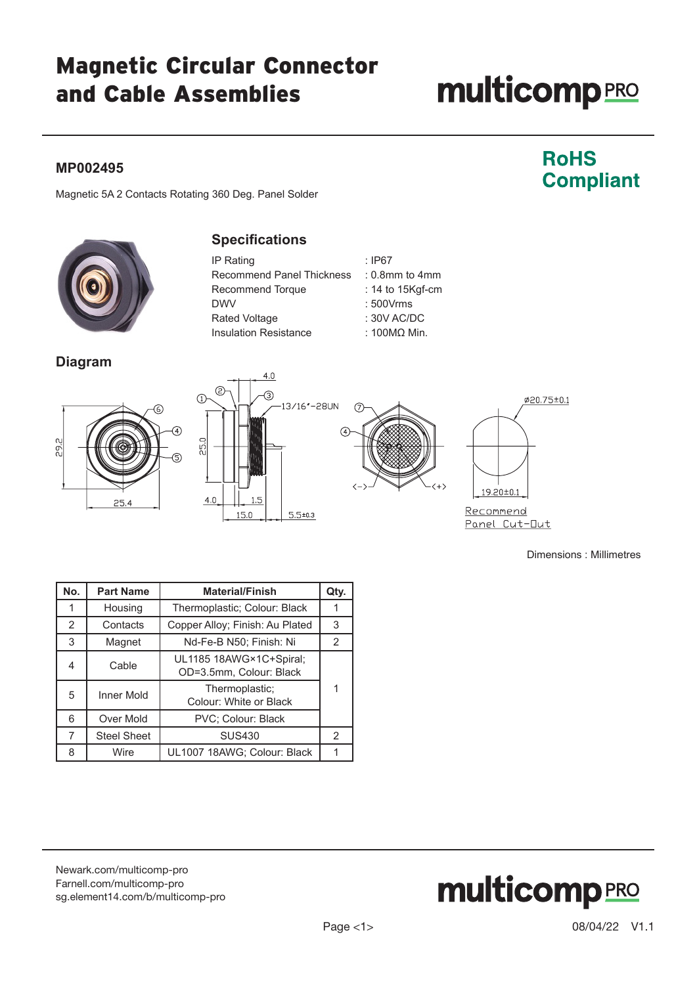### Magnetic Circular Connector and Cable Assemblies

## **multicomp**PRO

#### **MP002495**

### **RoHS Compliant**

Magnetic 5A 2 Contacts Rotating 360 Deg. Panel Solder



#### **Specifications**

| IP Rating                    | : $IP67$            |
|------------------------------|---------------------|
| Recommend Panel Thickness    | $: 0.8$ mm to 4mm   |
| Recommend Torque             | : 14 to 15Kgf-cm    |
| <b>DWV</b>                   | : 500Vrms           |
| Rated Voltage                | $: 30V$ AC/DC       |
| <b>Insulation Resistance</b> | $: 100M\Omega$ Min. |

#### **Diagram**







Panel Cut-Out

Dimensions : Millimetres

| No. | <b>Part Name</b>   | <b>Material/Finish</b>                             | Qty.           |
|-----|--------------------|----------------------------------------------------|----------------|
|     | Housing            | Thermoplastic; Colour: Black                       | 1              |
| 2   | Contacts           | Copper Alloy; Finish: Au Plated                    | 3              |
| 3   | Magnet             | Nd-Fe-B N50; Finish: Ni                            | $\overline{2}$ |
| 4   | Cable              | UL1185 18AWG×1C+Spiral;<br>OD=3.5mm, Colour: Black |                |
| 5   | <b>Inner Mold</b>  | Thermoplastic;<br>1<br>Colour: White or Black      |                |
| 6   | Over Mold          | PVC; Colour: Black                                 |                |
| 7   | <b>Steel Sheet</b> | <b>SUS430</b>                                      | 2              |
| 8   | Wire               | UL1007 18AWG; Colour: Black                        |                |

[Newark.com/multicomp-](https://www.newark.com/multicomp-pro)pro [Farnell.com/multicomp](https://www.farnell.com/multicomp-pro)-pro [sg.element14.com/b/multicomp-pro](https://sg.element14.com/b/multicomp-pro)

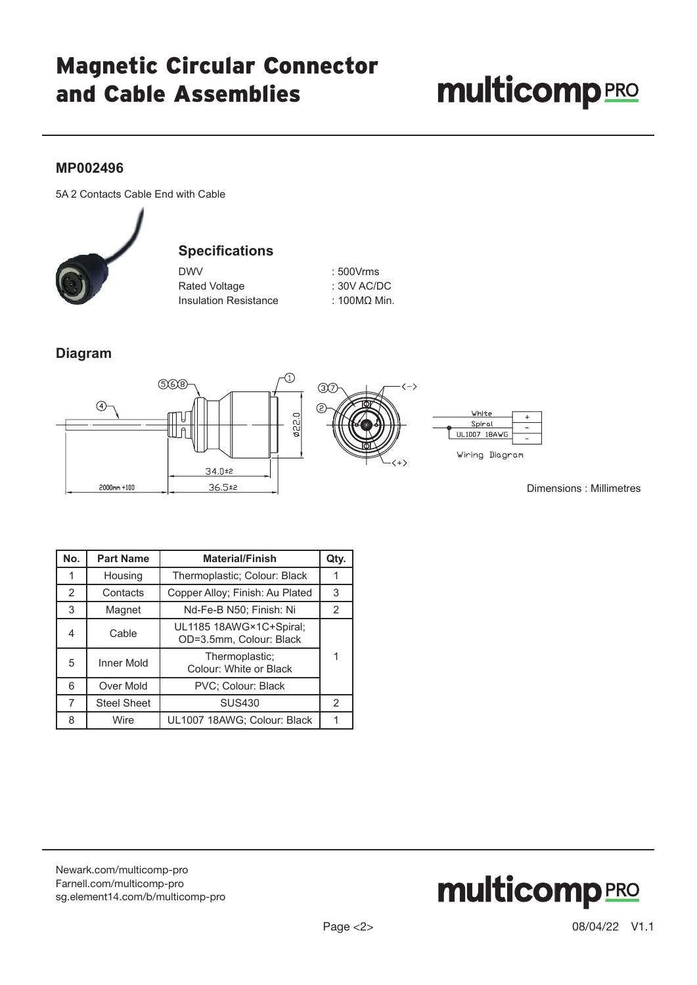## Magnetic Circular Connector and Cable Assemblies

# **multicomp**PRO

#### **MP002496**

5A 2 Contacts Cable End with Cable



#### **Specifications**

| <b>DWV</b>                   |  |
|------------------------------|--|
| <b>Rated Voltage</b>         |  |
| <b>Insulation Resistance</b> |  |

 $: 500V$ rms : 30V AC/DC : 100MΩ Min.

#### **Diagram**



Dimensions : Millimetres

| No. | <b>Part Name</b>   | <b>Material/Finish</b>                             | Qty. |
|-----|--------------------|----------------------------------------------------|------|
|     | Housing            | Thermoplastic; Colour: Black                       |      |
| 2   | Contacts           | Copper Alloy; Finish: Au Plated                    | 3    |
| 3   | Magnet             | Nd-Fe-B N50; Finish: Ni                            | 2    |
| 4   | Cable              | UL1185 18AWG×1C+Spiral;<br>OD=3.5mm, Colour: Black |      |
| 5   | Inner Mold         | 1<br>Thermoplastic;<br>Colour: White or Black      |      |
| 6   | Over Mold          | PVC; Colour: Black                                 |      |
| 7   | <b>Steel Sheet</b> | <b>SUS430</b>                                      | 2    |
| 8   | Wire               | UL1007 18AWG; Colour: Black                        |      |

[Newark.com/multicomp-](https://www.newark.com/multicomp-pro)pro [Farnell.com/multicomp](https://www.farnell.com/multicomp-pro)-pro sg.element14.com/b/multicomp-pro